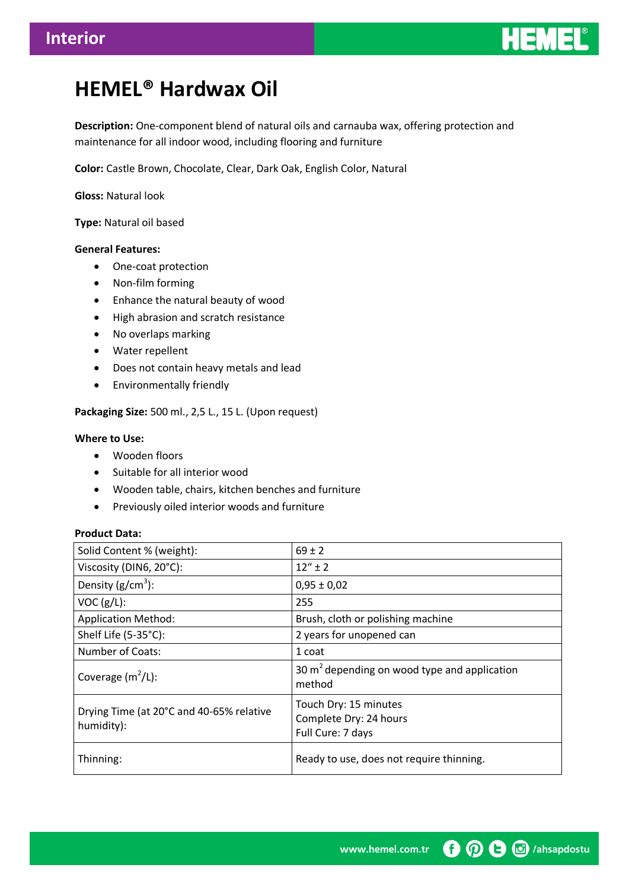

# **HEMEL® Hardwax Oil**

**Description:** One-component blend of natural oils and carnauba wax, offering protection and maintenance for all indoor wood, including flooring and furniture

**Color:** Castle Brown, Chocolate, Clear, Dark Oak, English Color, Natural

**Gloss:** Natural look

**Type:** Natural oil based

## **General Features:**

- One-coat protection
- Non-film forming
- Enhance the natural beauty of wood
- High abrasion and scratch resistance
- No overlaps marking
- Water repellent
- Does not contain heavy metals and lead
- Environmentally friendly

**Packaging Size:** 500 ml., 2,5 L., 15 L. (Upon request)

#### **Where to Use:**

- Wooden floors
- Suitable for all interior wood
- Wooden table, chairs, kitchen benches and furniture
- Previously oiled interior woods and furniture

#### **Product Data:**

| Solid Content % (weight):                              | $69 \pm 2$                                                           |
|--------------------------------------------------------|----------------------------------------------------------------------|
| Viscosity (DIN6, 20°C):                                | $12'' + 2$                                                           |
| Density $(g/cm^3)$ :                                   | $0,95 \pm 0,02$                                                      |
| VOC (g/L):                                             | 255                                                                  |
| <b>Application Method:</b>                             | Brush, cloth or polishing machine                                    |
| Shelf Life (5-35°C):                                   | 2 years for unopened can                                             |
| <b>Number of Coats:</b>                                | 1 coat                                                               |
| Coverage $(m^2/L)$ :                                   | 30 $m2$ depending on wood type and application<br>method             |
| Drying Time (at 20°C and 40-65% relative<br>humidity): | Touch Dry: 15 minutes<br>Complete Dry: 24 hours<br>Full Cure: 7 days |
| Thinning:                                              | Ready to use, does not require thinning.                             |

**D D B C** /ahsapdostu www.hemel.com.tr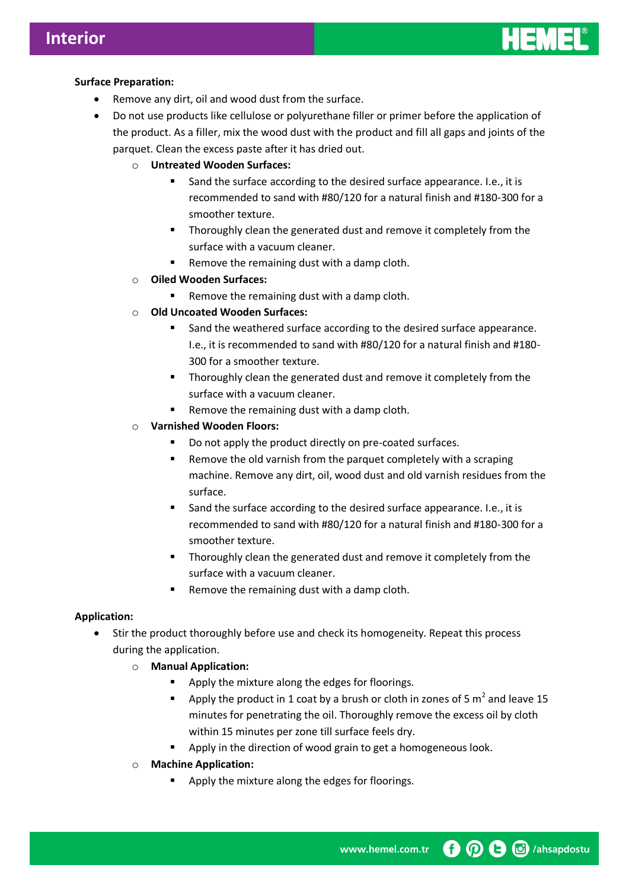

# **Surface Preparation:**

- Remove any dirt, oil and wood dust from the surface.
- Do not use products like cellulose or polyurethane filler or primer before the application of the product. As a filler, mix the wood dust with the product and fill all gaps and joints of the parquet. Clean the excess paste after it has dried out.
	- o **Untreated Wooden Surfaces:**
		- Sand the surface according to the desired surface appearance. I.e., it is recommended to sand with #80/120 for a natural finish and #180-300 for a smoother texture.
		- Thoroughly clean the generated dust and remove it completely from the surface with a vacuum cleaner.
		- Remove the remaining dust with a damp cloth.
	- o **Oiled Wooden Surfaces:**
		- Remove the remaining dust with a damp cloth.
	- o **Old Uncoated Wooden Surfaces:**
		- Sand the weathered surface according to the desired surface appearance. I.e., it is recommended to sand with #80/120 for a natural finish and #180- 300 for a smoother texture.
		- **Thoroughly clean the generated dust and remove it completely from the** surface with a vacuum cleaner.
		- Remove the remaining dust with a damp cloth.

## o **Varnished Wooden Floors:**

- Do not apply the product directly on pre-coated surfaces.
- **EXECT** Remove the old varnish from the parquet completely with a scraping machine. Remove any dirt, oil, wood dust and old varnish residues from the surface.
- Sand the surface according to the desired surface appearance. I.e., it is recommended to sand with #80/120 for a natural finish and #180-300 for a smoother texture.
- **Thoroughly clean the generated dust and remove it completely from the** surface with a vacuum cleaner.
- Remove the remaining dust with a damp cloth.

## **Application:**

- Stir the product thoroughly before use and check its homogeneity. Repeat this process during the application.
	- o **Manual Application:**
		- **Apply the mixture along the edges for floorings.**
		- Apply the product in 1 coat by a brush or cloth in zones of 5  $m^2$  and leave 15 minutes for penetrating the oil. Thoroughly remove the excess oil by cloth within 15 minutes per zone till surface feels dry.
		- Apply in the direction of wood grain to get a homogeneous look.
	- o **Machine Application:**
		- Apply the mixture along the edges for floorings.

**O O** *<u>G</u> (ahsapdostu* www.hemel.com.tr